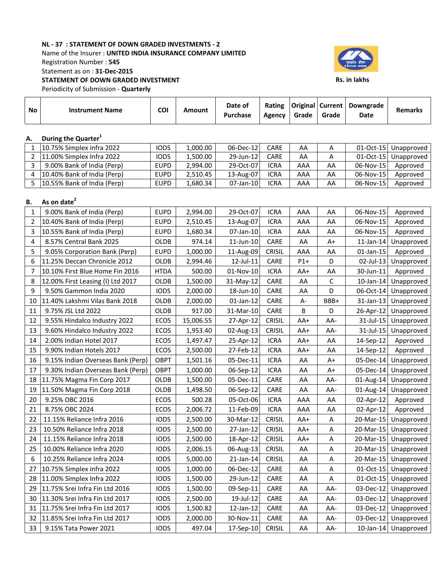## NL - 37 : STATEMENT OF DOWN GRADED INVESTMENTS - 2 Name of the Insurer : UNITED INDIA INSURANCE COMPANY LIMITED Registration Number : 545 Statement as on : 31-Dec-2015 STATEMENT OF DOWN GRADED INVESTMENT Periodicity of Submission - Quarterly



Rs. in lakhs

No Instrument Name COI Amount Date of Purchase Rating Agency Original Current Grade Grade Downgrade Date Remarks A. During the Quarter<sup>1</sup> 1 10.75% Simplex infra 2022 IODS 1,000.00 06-Dec-12 CARE AA A 01-Oct-15 Unapproved

| 11.00% Simplex Infra 2022   | <b>IODS</b> | 1,500.00 | 29-Jun-12    | <b>CARE</b> | AA  |    |           | 01-Oct-15 Unapproved |
|-----------------------------|-------------|----------|--------------|-------------|-----|----|-----------|----------------------|
| 9.00% Bank of India (Perp)  | <b>EUPD</b> | 2.994.00 | 29-Oct-07    | ICRA        | AAA | AA | 06-Nov-15 | Approved             |
| 10.40% Bank of India (Perp) | <b>EUPD</b> | 2.510.45 | $13$ -Aug-07 | ICRA        | AAA | AA | 06-Nov-15 | Approved             |
| 10.55% Bank of India (Perp) | <b>EUPD</b> | 1.680.34 | $07$ -Jan-10 | ICRA        | AAA | AA | 06-Nov-15 | Approved             |

# B. As on date $<sup>2</sup>$ </sup>

| 1              | 9.00% Bank of India (Perp)        | <b>EUPD</b> | 2,994.00  | 29-Oct-07    | <b>ICRA</b>   | AAA   | AA           | 06-Nov-15    | Approved             |
|----------------|-----------------------------------|-------------|-----------|--------------|---------------|-------|--------------|--------------|----------------------|
| $\overline{2}$ | 10.40% Bank of India (Perp)       | <b>EUPD</b> | 2,510.45  | 13-Aug-07    | <b>ICRA</b>   | AAA   | AA           | 06-Nov-15    | Approved             |
| 3              | 10.55% Bank of India (Perp)       | <b>EUPD</b> | 1,680.34  | 07-Jan-10    | <b>ICRA</b>   | AAA   | AA           | 06-Nov-15    | Approved             |
| 4              | 8.57% Central Bank 2025           | OLDB        | 974.14    | 11-Jun-10    | CARE          | AA    | A+           | $11$ -Jan-14 | Unapproved           |
| 5              | 9.05% Corporation Bank (Perp)     | <b>EUPD</b> | 1,000.00  | 11-Aug-09    | <b>CRISIL</b> | AAA   | AA           | 01-Jan-15    | Approved             |
| 6              | 11.25% Deccan Chronicle 2012      | <b>OLDB</b> | 2,994.46  | 12-Jul-11    | CARE          | $P1+$ | D            |              | 02-Jul-13 Unapproved |
| 7              | 10.10% First Blue Home Fin 2016   | <b>HTDA</b> | 500.00    | 01-Nov-10    | <b>ICRA</b>   | $AA+$ | AA           | 30-Jun-11    | Approved             |
| 8              | 12.00% First Leasing (I) Ltd 2017 | OLDB        | 1,500.00  | 31-May-12    | CARE          | AA    | $\mathsf{C}$ |              | 10-Jan-14 Unapproved |
| 9              | 9.50% Gammon India 2020           | <b>IODS</b> | 2,000.00  | 18-Jun-10    | CARE          | AA    | D            | 06-Oct-14    | Unapproved           |
| 10             | 11.40% Lakshmi Vilas Bank 2018    | OLDB        | 2,000.00  | $01$ -Jan-12 | CARE          | А-    | BBB+         |              | 31-Jan-13 Unapproved |
| 11             | 9.75% JSL Ltd 2022                | <b>OLDB</b> | 917.00    | 31-Mar-10    | CARE          | B     | D            |              | 26-Apr-12 Unapproved |
| 12             | 9.55% Hindalco Industry 2022      | ECOS        | 15,006.55 | 27-Apr-12    | CRISIL        | $AA+$ | AA-          |              | 31-Jul-15 Unapproved |
| 13             | 9.60% Hindalco Industry 2022      | ECOS        | 1,953.40  | 02-Aug-13    | <b>CRISIL</b> | $AA+$ | AA-          | $31$ -Jul-15 | Unapproved           |
| 14             | 2.00% Indian Hotel 2017           | ECOS        | 1,497.47  | 25-Apr-12    | <b>ICRA</b>   | AA+   | AA           | 14-Sep-12    | Approved             |
| 15             | 9.90% Indian Hotels 2017          | ECOS        | 2,500.00  | 27-Feb-12    | <b>ICRA</b>   | AA+   | AA           | 14-Sep-12    | Approved             |
| 16             | 9.15% Indian Overseas Bank (Perp) | <b>OBPT</b> | 1,501.16  | 05-Dec-11    | <b>ICRA</b>   | AA    | A+           |              | 05-Dec-14 Unapproved |
| 17             | 9.30% Indian Overseas Bank (Perp) | <b>OBPT</b> | 1,000.00  | 06-Sep-12    | <b>ICRA</b>   | AA    | A+           | 05-Dec-14    | Unapproved           |
| 18             | 11.75% Magma Fin Corp 2017        | OLDB        | 1,500.00  | 05-Dec-11    | CARE          | AA    | AA-          |              | 01-Aug-14 Unapproved |
| 19             | 11.50% Magma Fin Corp 2018        | OLDB        | 1,498.50  | 06-Sep-12    | CARE          | AA    | AA-          | $01$ -Aug-14 | Unapproved           |
| 20             | 9.25% OBC 2016                    | ECOS        | 500.28    | 05-Oct-06    | <b>ICRA</b>   | AAA   | AA           | 02-Apr-12    | Approved             |
| 21             | 8.75% OBC 2024                    | ECOS        | 2,006.72  | 11-Feb-09    | <b>ICRA</b>   | AAA   | AA           | 02-Apr-12    | Approved             |
| 22             | 11.15% Reliance Infra 2016        | <b>IODS</b> | 2,500.00  | 30-Mar-12    | <b>CRISIL</b> | AA+   | Α            | 20-Mar-15    | Unapproved           |
| 23             | 10.50% Reliance Infra 2018        | <b>IODS</b> | 2,500.00  | 27-Jan-12    | CRISIL        | AA+   | Α            | $20$ -Mar-15 | Unapproved           |
| 24             | 11.15% Reliance Infra 2018        | <b>IODS</b> | 2,500.00  | 18-Apr-12    | CRISIL        | AA+   | Α            |              | 20-Mar-15 Unapproved |
| 25             | 10.00% Reliance Infra 2020        | <b>IODS</b> | 2,006.15  | 06-Aug-13    | CRISIL        | AA    | Α            | $20$ -Mar-15 | Unapproved           |
| 6              | 10.25% Reliance Infra 2024        | <b>IODS</b> | 5,000.00  | $21$ -Jan-14 | <b>CRISIL</b> | AA    | Α            |              | 20-Mar-15 Unapproved |
| 27             | 10.75% Simplex infra 2022         | <b>IODS</b> | 1,000.00  | 06-Dec-12    | CARE          | AA    | A            | $01-Oct-15$  | Unapproved           |
| 28             | 11.00% Simplex Infra 2022         | <b>IODS</b> | 1,500.00  | 29-Jun-12    | CARE          | AA    | Α            |              | 01-Oct-15 Unapproved |
| 29             | 11.75% Srei Infra Fin Ltd 2016    | <b>IODS</b> | 1,500.00  | 09-Sep-11    | CARE          | AA    | AA-          |              | 03-Dec-12 Unapproved |
| 30             | 11.30% Srei Infra Fin Ltd 2017    | <b>IODS</b> | 2,500.00  | 19-Jul-12    | CARE          | AA    | AA-          |              | 03-Dec-12 Unapproved |
| 31             | 11.75% Srei Infra Fin Ltd 2017    | <b>IODS</b> | 1,500.82  | 12-Jan-12    | CARE          | AA    | AA-          |              | 03-Dec-12 Unapproved |
| 32             | 11.85% Srei Infra Fin Ltd 2017    | <b>IODS</b> | 2,000.00  | 30-Nov-11    | CARE          | AA    | AA-          |              | 03-Dec-12 Unapproved |
| 33             | 9.15% Tata Power 2021             | <b>IODS</b> | 497.04    | 17-Sep-10    | <b>CRISIL</b> | AA    | AA-          |              | 10-Jan-14 Unapproved |